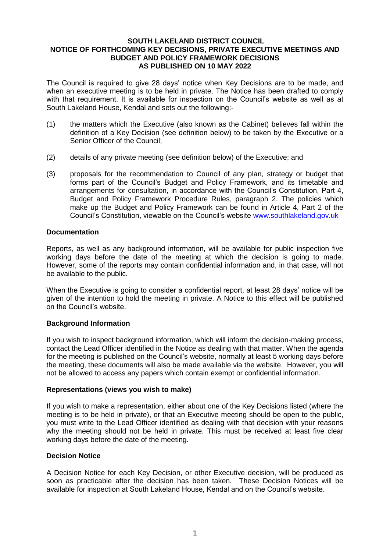#### **SOUTH LAKELAND DISTRICT COUNCIL NOTICE OF FORTHCOMING KEY DECISIONS, PRIVATE EXECUTIVE MEETINGS AND BUDGET AND POLICY FRAMEWORK DECISIONS AS PUBLISHED ON 10 MAY 2022**

The Council is required to give 28 days' notice when Key Decisions are to be made, and when an executive meeting is to be held in private. The Notice has been drafted to comply with that requirement. It is available for inspection on the Council's website as well as at South Lakeland House, Kendal and sets out the following:-

- (1) the matters which the Executive (also known as the Cabinet) believes fall within the definition of a Key Decision (see definition below) to be taken by the Executive or a Senior Officer of the Council;
- (2) details of any private meeting (see definition below) of the Executive; and
- (3) proposals for the recommendation to Council of any plan, strategy or budget that forms part of the Council's Budget and Policy Framework, and its timetable and arrangements for consultation, in accordance with the Council's Constitution, Part 4, Budget and Policy Framework Procedure Rules, paragraph 2. The policies which make up the Budget and Policy Framework can be found in Article 4, Part 2 of the Council's Constitution, viewable on the Council's website [www.southlakeland.gov.uk](http://www.southlakeland.gov.uk/)

#### **Documentation**

Reports, as well as any background information, will be available for public inspection five working days before the date of the meeting at which the decision is going to made. However, some of the reports may contain confidential information and, in that case, will not be available to the public.

When the Executive is going to consider a confidential report, at least 28 days' notice will be given of the intention to hold the meeting in private. A Notice to this effect will be published on the Council's website.

### **Background Information**

If you wish to inspect background information, which will inform the decision-making process, contact the Lead Officer identified in the Notice as dealing with that matter. When the agenda for the meeting is published on the Council's website, normally at least 5 working days before the meeting, these documents will also be made available via the website. However, you will not be allowed to access any papers which contain exempt or confidential information.

#### **Representations (views you wish to make)**

If you wish to make a representation, either about one of the Key Decisions listed (where the meeting is to be held in private), or that an Executive meeting should be open to the public, you must write to the Lead Officer identified as dealing with that decision with your reasons why the meeting should not be held in private. This must be received at least five clear working days before the date of the meeting.

#### **Decision Notice**

A Decision Notice for each Key Decision, or other Executive decision, will be produced as soon as practicable after the decision has been taken. These Decision Notices will be available for inspection at South Lakeland House, Kendal and on the Council's website.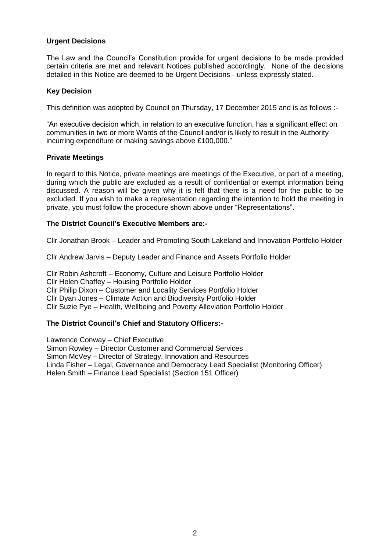### **Urgent Decisions**

The Law and the Council's Constitution provide for urgent decisions to be made provided certain criteria are met and relevant Notices published accordingly. None of the decisions detailed in this Notice are deemed to be Urgent Decisions - unless expressly stated.

### **Key Decision**

This definition was adopted by Council on Thursday, 17 December 2015 and is as follows :-

"An executive decision which, in relation to an executive function, has a significant effect on communities in two or more Wards of the Council and/or is likely to result in the Authority incurring expenditure or making savings above £100,000."

#### **Private Meetings**

In regard to this Notice, private meetings are meetings of the Executive, or part of a meeting, during which the public are excluded as a result of confidential or exempt information being discussed. A reason will be given why it is felt that there is a need for the public to be excluded. If you wish to make a representation regarding the intention to hold the meeting in private, you must follow the procedure shown above under "Representations".

#### **The District Council's Executive Members are:-**

Cllr Jonathan Brook – Leader and Promoting South Lakeland and Innovation Portfolio Holder

Cllr Andrew Jarvis – Deputy Leader and Finance and Assets Portfolio Holder

Cllr Robin Ashcroft – Economy, Culture and Leisure Portfolio Holder Cllr Helen Chaffey – Housing Portfolio Holder Cllr Philip Dixon – Customer and Locality Services Portfolio Holder Cllr Dyan Jones – Climate Action and Biodiversity Portfolio Holder Cllr Suzie Pye – Health, Wellbeing and Poverty Alleviation Portfolio Holder

### **The District Council's Chief and Statutory Officers:-**

Lawrence Conway – Chief Executive Simon Rowley – Director Customer and Commercial Services Simon McVey – Director of Strategy, Innovation and Resources Linda Fisher – Legal, Governance and Democracy Lead Specialist (Monitoring Officer) Helen Smith – Finance Lead Specialist (Section 151 Officer)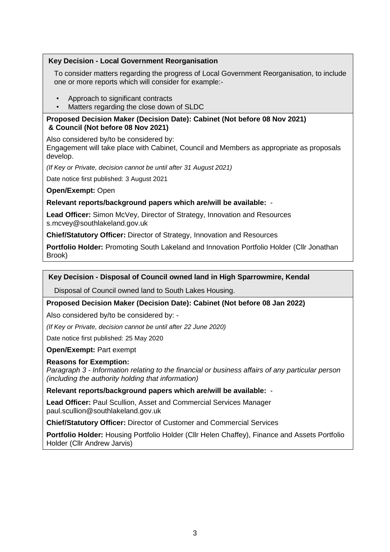## **Key Decision - Local Government Reorganisation**

To consider matters regarding the progress of Local Government Reorganisation, to include one or more reports which will consider for example:-

- Approach to significant contracts
- Matters regarding the close down of SLDC

## **Proposed Decision Maker (Decision Date): Cabinet (Not before 08 Nov 2021) & Council (Not before 08 Nov 2021)**

Also considered by/to be considered by:

Engagement will take place with Cabinet, Council and Members as appropriate as proposals develop.

*(If Key or Private, decision cannot be until after 31 August 2021)*

Date notice first published: 3 August 2021

**Open/Exempt:** Open

## **Relevant reports/background papers which are/will be available:** -

**Lead Officer:** Simon McVey, Director of Strategy, Innovation and Resources s.mcvey@southlakeland.gov.uk

**Chief/Statutory Officer:** Director of Strategy, Innovation and Resources

**Portfolio Holder:** Promoting South Lakeland and Innovation Portfolio Holder (Cllr Jonathan Brook)

## **Key Decision - Disposal of Council owned land in High Sparrowmire, Kendal**

Disposal of Council owned land to South Lakes Housing.

# **Proposed Decision Maker (Decision Date): Cabinet (Not before 08 Jan 2022)**

Also considered by/to be considered by: -

*(If Key or Private, decision cannot be until after 22 June 2020)*

Date notice first published: 25 May 2020

**Open/Exempt:** Part exempt

### **Reasons for Exemption:**

*Paragraph 3 - Information relating to the financial or business affairs of any particular person (including the authority holding that information)*

**Relevant reports/background papers which are/will be available:** -

**Lead Officer:** Paul Scullion, Asset and Commercial Services Manager paul.scullion@southlakeland.gov.uk

**Chief/Statutory Officer:** Director of Customer and Commercial Services

**Portfolio Holder:** Housing Portfolio Holder (Cllr Helen Chaffey), Finance and Assets Portfolio Holder (Cllr Andrew Jarvis)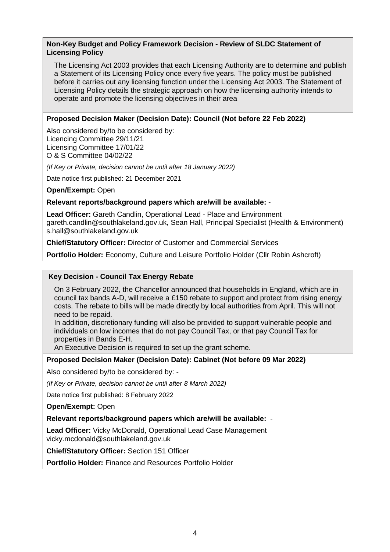## **Non-Key Budget and Policy Framework Decision - Review of SLDC Statement of Licensing Policy**

The Licensing Act 2003 provides that each Licensing Authority are to determine and publish a Statement of its Licensing Policy once every five years. The policy must be published before it carries out any licensing function under the Licensing Act 2003. The Statement of Licensing Policy details the strategic approach on how the licensing authority intends to operate and promote the licensing objectives in their area

## **Proposed Decision Maker (Decision Date): Council (Not before 22 Feb 2022)**

Also considered by/to be considered by: Licencing Committee 29/11/21 Licensing Committee 17/01/22 O & S Committee 04/02/22

*(If Key or Private, decision cannot be until after 18 January 2022)*

Date notice first published: 21 December 2021

**Open/Exempt:** Open

**Relevant reports/background papers which are/will be available:** -

**Lead Officer:** Gareth Candlin, Operational Lead - Place and Environment gareth.candlin@southlakeland.gov.uk, Sean Hall, Principal Specialist (Health & Environment) s.hall@southlakeland.gov.uk

**Chief/Statutory Officer:** Director of Customer and Commercial Services

**Portfolio Holder:** Economy, Culture and Leisure Portfolio Holder (Cllr Robin Ashcroft)

### **Key Decision - Council Tax Energy Rebate**

On 3 February 2022, the Chancellor announced that households in England, which are in council tax bands A-D, will receive a £150 rebate to support and protect from rising energy costs. The rebate to bills will be made directly by local authorities from April. This will not need to be repaid.

In addition, discretionary funding will also be provided to support vulnerable people and individuals on low incomes that do not pay Council Tax, or that pay Council Tax for properties in Bands E-H.

An Executive Decision is required to set up the grant scheme.

### **Proposed Decision Maker (Decision Date): Cabinet (Not before 09 Mar 2022)**

Also considered by/to be considered by: -

*(If Key or Private, decision cannot be until after 8 March 2022)*

Date notice first published: 8 February 2022

**Open/Exempt:** Open

**Relevant reports/background papers which are/will be available:** -

**Lead Officer:** Vicky McDonald, Operational Lead Case Management vicky.mcdonald@southlakeland.gov.uk

**Chief/Statutory Officer:** Section 151 Officer

**Portfolio Holder:** Finance and Resources Portfolio Holder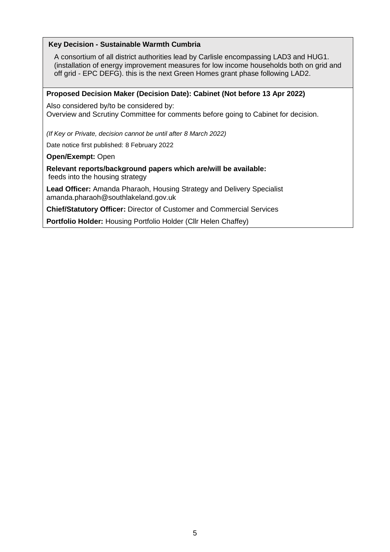## **Key Decision - Sustainable Warmth Cumbria**

A consortium of all district authorities lead by Carlisle encompassing LAD3 and HUG1. (installation of energy improvement measures for low income households both on grid and off grid - EPC DEFG). this is the next Green Homes grant phase following LAD2.

#### **Proposed Decision Maker (Decision Date): Cabinet (Not before 13 Apr 2022)**

Also considered by/to be considered by: Overview and Scrutiny Committee for comments before going to Cabinet for decision.

*(If Key or Private, decision cannot be until after 8 March 2022)*

Date notice first published: 8 February 2022

#### **Open/Exempt:** Open

**Relevant reports/background papers which are/will be available:** feeds into the housing strategy

**Lead Officer:** Amanda Pharaoh, Housing Strategy and Delivery Specialist amanda.pharaoh@southlakeland.gov.uk

**Chief/Statutory Officer:** Director of Customer and Commercial Services

**Portfolio Holder:** Housing Portfolio Holder (Cllr Helen Chaffey)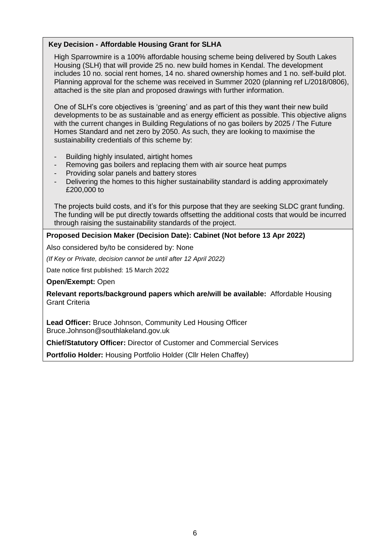## **Key Decision - Affordable Housing Grant for SLHA**

High Sparrowmire is a 100% affordable housing scheme being delivered by South Lakes Housing (SLH) that will provide 25 no. new build homes in Kendal. The development includes 10 no. social rent homes, 14 no. shared ownership homes and 1 no. self-build plot. Planning approval for the scheme was received in Summer 2020 (planning ref L/2018/0806), attached is the site plan and proposed drawings with further information.

One of SLH's core objectives is 'greening' and as part of this they want their new build developments to be as sustainable and as energy efficient as possible. This objective aligns with the current changes in Building Regulations of no gas boilers by 2025 / The Future Homes Standard and net zero by 2050. As such, they are looking to maximise the sustainability credentials of this scheme by:

- Building highly insulated, airtight homes
- Removing gas boilers and replacing them with air source heat pumps
- Providing solar panels and battery stores
- Delivering the homes to this higher sustainability standard is adding approximately £200,000 to

The projects build costs, and it's for this purpose that they are seeking SLDC grant funding. The funding will be put directly towards offsetting the additional costs that would be incurred through raising the sustainability standards of the project.

### **Proposed Decision Maker (Decision Date): Cabinet (Not before 13 Apr 2022)**

Also considered by/to be considered by: None

*(If Key or Private, decision cannot be until after 12 April 2022)*

Date notice first published: 15 March 2022

**Open/Exempt:** Open

**Relevant reports/background papers which are/will be available:** Affordable Housing Grant Criteria

**Lead Officer:** Bruce Johnson, Community Led Housing Officer Bruce.Johnson@southlakeland.gov.uk

**Chief/Statutory Officer:** Director of Customer and Commercial Services

**Portfolio Holder:** Housing Portfolio Holder (Cllr Helen Chaffey)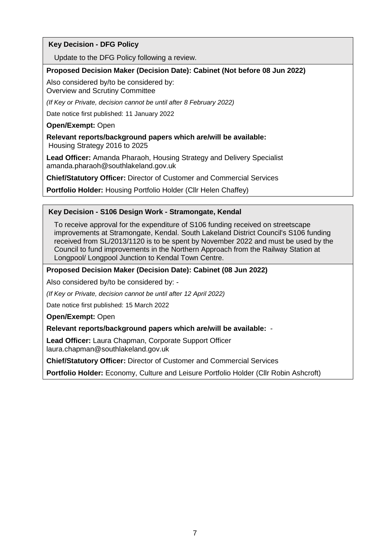# **Key Decision - DFG Policy**

Update to the DFG Policy following a review.

#### **Proposed Decision Maker (Decision Date): Cabinet (Not before 08 Jun 2022)**

Also considered by/to be considered by: Overview and Scrutiny Committee

*(If Key or Private, decision cannot be until after 8 February 2022)*

Date notice first published: 11 January 2022

#### **Open/Exempt:** Open

**Relevant reports/background papers which are/will be available:** Housing Strategy 2016 to 2025

**Lead Officer:** Amanda Pharaoh, Housing Strategy and Delivery Specialist amanda.pharaoh@southlakeland.gov.uk

**Chief/Statutory Officer:** Director of Customer and Commercial Services

**Portfolio Holder:** Housing Portfolio Holder (Cllr Helen Chaffey)

### **Key Decision - S106 Design Work - Stramongate, Kendal**

To receive approval for the expenditure of S106 funding received on streetscape improvements at Stramongate, Kendal. South Lakeland District Council's S106 funding received from SL/2013/1120 is to be spent by November 2022 and must be used by the Council to fund improvements in the Northern Approach from the Railway Station at Longpool/ Longpool Junction to Kendal Town Centre.

### **Proposed Decision Maker (Decision Date): Cabinet (08 Jun 2022)**

Also considered by/to be considered by: -

*(If Key or Private, decision cannot be until after 12 April 2022)*

Date notice first published: 15 March 2022

**Open/Exempt:** Open

**Relevant reports/background papers which are/will be available:** -

**Lead Officer:** Laura Chapman, Corporate Support Officer laura.chapman@southlakeland.gov.uk

**Chief/Statutory Officer:** Director of Customer and Commercial Services

**Portfolio Holder:** Economy, Culture and Leisure Portfolio Holder (Cllr Robin Ashcroft)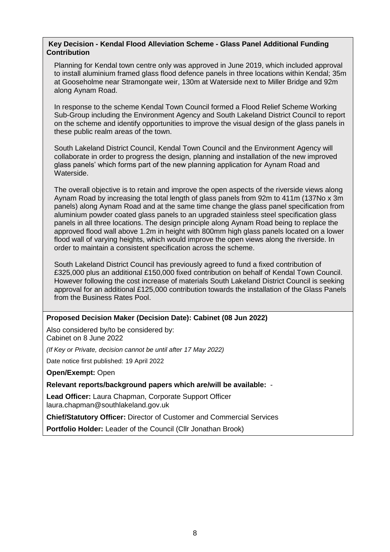### **Key Decision - Kendal Flood Alleviation Scheme - Glass Panel Additional Funding Contribution**

Planning for Kendal town centre only was approved in June 2019, which included approval to install aluminium framed glass flood defence panels in three locations within Kendal; 35m at Gooseholme near Stramongate weir, 130m at Waterside next to Miller Bridge and 92m along Aynam Road.

In response to the scheme Kendal Town Council formed a Flood Relief Scheme Working Sub-Group including the Environment Agency and South Lakeland District Council to report on the scheme and identify opportunities to improve the visual design of the glass panels in these public realm areas of the town.

South Lakeland District Council, Kendal Town Council and the Environment Agency will collaborate in order to progress the design, planning and installation of the new improved glass panels' which forms part of the new planning application for Aynam Road and Waterside.

The overall objective is to retain and improve the open aspects of the riverside views along Aynam Road by increasing the total length of glass panels from 92m to 411m (137No x 3m panels) along Aynam Road and at the same time change the glass panel specification from aluminium powder coated glass panels to an upgraded stainless steel specification glass panels in all three locations. The design principle along Aynam Road being to replace the approved flood wall above 1.2m in height with 800mm high glass panels located on a lower flood wall of varying heights, which would improve the open views along the riverside. In order to maintain a consistent specification across the scheme.

South Lakeland District Council has previously agreed to fund a fixed contribution of £325,000 plus an additional £150,000 fixed contribution on behalf of Kendal Town Council. However following the cost increase of materials South Lakeland District Council is seeking approval for an additional £125,000 contribution towards the installation of the Glass Panels from the Business Rates Pool.

### **Proposed Decision Maker (Decision Date): Cabinet (08 Jun 2022)**

Also considered by/to be considered by: Cabinet on 8 June 2022

*(If Key or Private, decision cannot be until after 17 May 2022)*

Date notice first published: 19 April 2022

**Open/Exempt:** Open

**Relevant reports/background papers which are/will be available:** -

**Lead Officer:** Laura Chapman, Corporate Support Officer laura.chapman@southlakeland.gov.uk

**Chief/Statutory Officer:** Director of Customer and Commercial Services

**Portfolio Holder:** Leader of the Council (Cllr Jonathan Brook)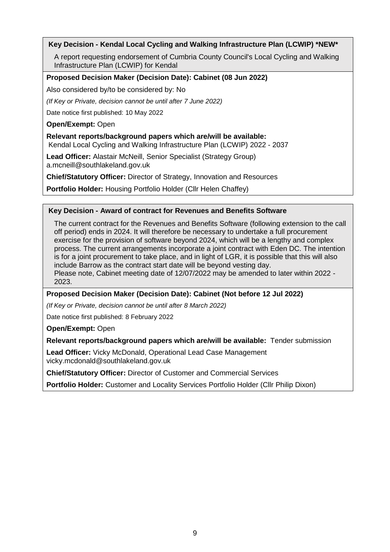# **Key Decision - Kendal Local Cycling and Walking Infrastructure Plan (LCWIP) \*NEW\***

A report requesting endorsement of Cumbria County Council's Local Cycling and Walking Infrastructure Plan (LCWIP) for Kendal

### **Proposed Decision Maker (Decision Date): Cabinet (08 Jun 2022)**

Also considered by/to be considered by: No

*(If Key or Private, decision cannot be until after 7 June 2022)*

Date notice first published: 10 May 2022

**Open/Exempt:** Open

### **Relevant reports/background papers which are/will be available:**

Kendal Local Cycling and Walking Infrastructure Plan (LCWIP) 2022 - 2037

**Lead Officer:** Alastair McNeill, Senior Specialist (Strategy Group) a.mcneill@southlakeland.gov.uk

**Chief/Statutory Officer:** Director of Strategy, Innovation and Resources

**Portfolio Holder:** Housing Portfolio Holder (Cllr Helen Chaffey)

## **Key Decision - Award of contract for Revenues and Benefits Software**

The current contract for the Revenues and Benefits Software (following extension to the call off period) ends in 2024. It will therefore be necessary to undertake a full procurement exercise for the provision of software beyond 2024, which will be a lengthy and complex process. The current arrangements incorporate a joint contract with Eden DC. The intention is for a joint procurement to take place, and in light of LGR, it is possible that this will also include Barrow as the contract start date will be beyond vesting day. Please note, Cabinet meeting date of 12/07/2022 may be amended to later within 2022 - 2023.

**Proposed Decision Maker (Decision Date): Cabinet (Not before 12 Jul 2022)**

*(If Key or Private, decision cannot be until after 8 March 2022)*

Date notice first published: 8 February 2022

**Open/Exempt:** Open

**Relevant reports/background papers which are/will be available:** Tender submission

**Lead Officer:** Vicky McDonald, Operational Lead Case Management vicky.mcdonald@southlakeland.gov.uk

**Chief/Statutory Officer:** Director of Customer and Commercial Services

**Portfolio Holder:** Customer and Locality Services Portfolio Holder (Cllr Philip Dixon)